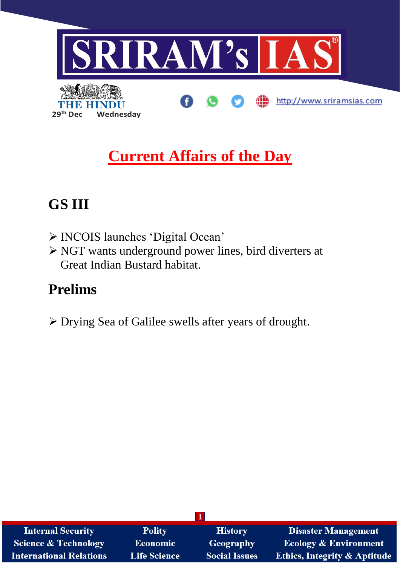

# **Current Affairs of the Day**

## **GS III**

- ➢ INCOIS launches 'Digital Ocean'
- ➢ NGT wants underground power lines, bird diverters at Great Indian Bustard habitat.

## **Prelims**

➢ Drying Sea of Galilee swells after years of drought.

| <b>Internal Security</b>       | <b>Polity</b>       | <b>History</b>       | <b>Disaster Management</b>              |  |  |  |
|--------------------------------|---------------------|----------------------|-----------------------------------------|--|--|--|
| Science & Technology           | <b>Economic</b>     | Geography            | <b>Ecology &amp; Environment</b>        |  |  |  |
| <b>International Relations</b> | <b>Life Science</b> | <b>Social Issues</b> | <b>Ethics, Integrity &amp; Aptitude</b> |  |  |  |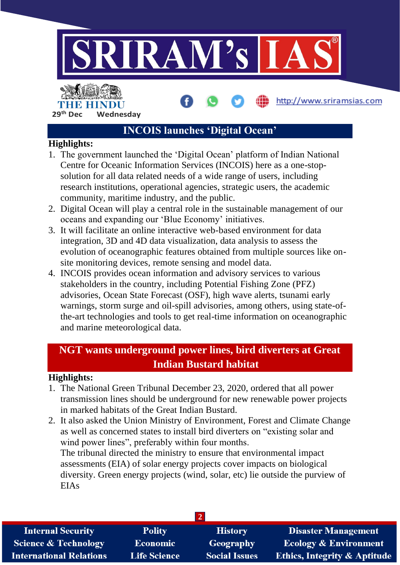

29<sup>th</sup> Dec **Wednesday** 

### **INCOIS launches 'Digital Ocean'**

#### **Highlights:**

- 1. The government launched the 'Digital Ocean' platform of Indian National Centre for Oceanic Information Services (INCOIS) here as a one-stopsolution for all data related needs of a wide range of users, including research institutions, operational agencies, strategic users, the academic community, maritime industry, and the public.
- 2. Digital Ocean will play a central role in the sustainable management of our oceans and expanding our 'Blue Economy' initiatives.
- 3. It will facilitate an online interactive web-based environment for data integration, 3D and 4D data visualization, data analysis to assess the evolution of oceanographic features obtained from multiple sources like onsite monitoring devices, remote sensing and model data.
- 4. INCOIS provides ocean information and advisory services to various stakeholders in the country, including Potential Fishing Zone (PFZ) advisories, Ocean State Forecast (OSF), high wave alerts, tsunami early warnings, storm surge and oil-spill advisories, among others, using state-ofthe-art technologies and tools to get real-time information on oceanographic and marine meteorological data.

### **NGT wants underground power lines, bird diverters at Great Indian Bustard habitat**

#### **Highlights:**

- 1. The National Green Tribunal December 23, 2020, ordered that all power transmission lines should be underground for new renewable power projects in marked habitats of the Great Indian Bustard.
- 2. It also asked the Union Ministry of Environment, Forest and Climate Change as well as concerned states to install bird diverters on "existing solar and wind power lines", preferably within four months. The tribunal directed the ministry to ensure that environmental impact assessments (EIA) of solar energy projects cover impacts on biological diversity. Green energy projects (wind, solar, etc) lie outside the purview of EIAs

| <b>Internal Security</b>        | <b>Polity</b>       | <b>History</b>       | <b>Disaster Management</b>              |  |  |  |
|---------------------------------|---------------------|----------------------|-----------------------------------------|--|--|--|
| <b>Science &amp; Technology</b> | <b>Economic</b>     | <b>Geography</b>     | <b>Ecology &amp; Environment</b>        |  |  |  |
| <b>International Relations</b>  | <b>Life Science</b> | <b>Social Issues</b> | <b>Ethics, Integrity &amp; Aptitude</b> |  |  |  |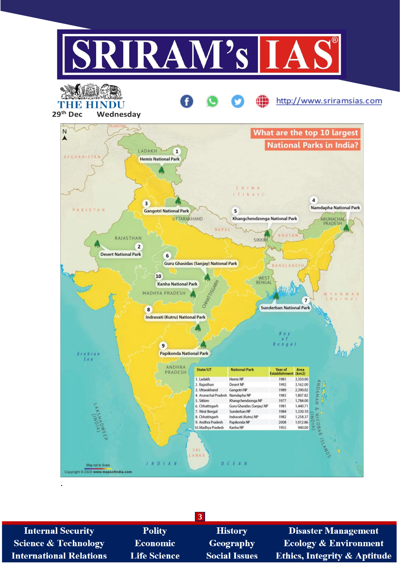

3 **Internal Security Polity History Disaster Management Science & Technology Geography Ecology & Environment** Economic Ethics, Integrity & Aptitude **International Relations Life Science Social Issues**